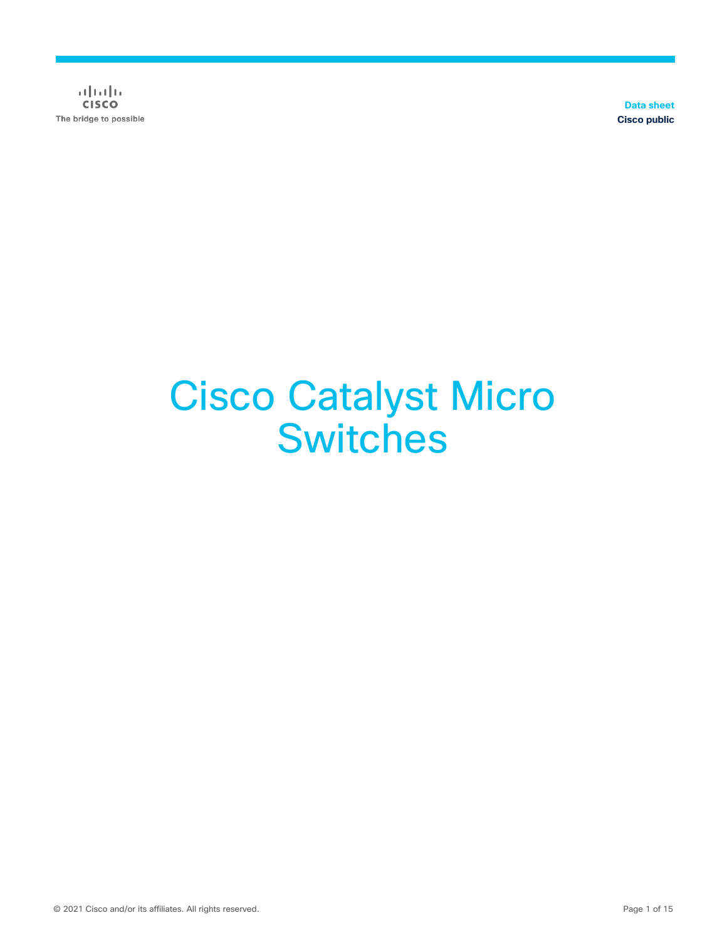$\alpha$  [  $\alpha$  ]  $\alpha$ **CISCO** The bridge to possible

**Data sheet Cisco public**

# Cisco Catalyst Micro **Switches**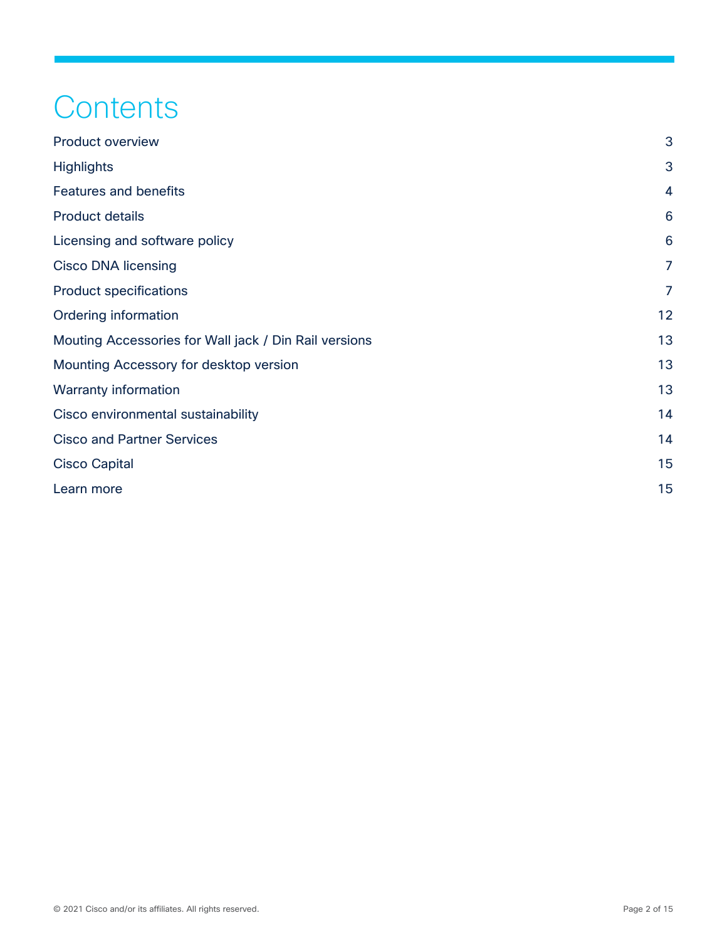## **Contents**

| <b>Product overview</b>                               | 3              |
|-------------------------------------------------------|----------------|
| <b>Highlights</b>                                     | 3              |
| <b>Features and benefits</b>                          | $\overline{4}$ |
| <b>Product details</b>                                | 6              |
| Licensing and software policy                         | 6              |
| <b>Cisco DNA licensing</b>                            | $\overline{7}$ |
| <b>Product specifications</b>                         | $\overline{7}$ |
| Ordering information                                  | 12             |
| Mouting Accessories for Wall jack / Din Rail versions | 13             |
| Mounting Accessory for desktop version                | 13             |
| <b>Warranty information</b>                           | 13             |
| Cisco environmental sustainability                    | 14             |
| <b>Cisco and Partner Services</b>                     | 14             |
| <b>Cisco Capital</b>                                  | 15             |
| Learn more                                            | 15             |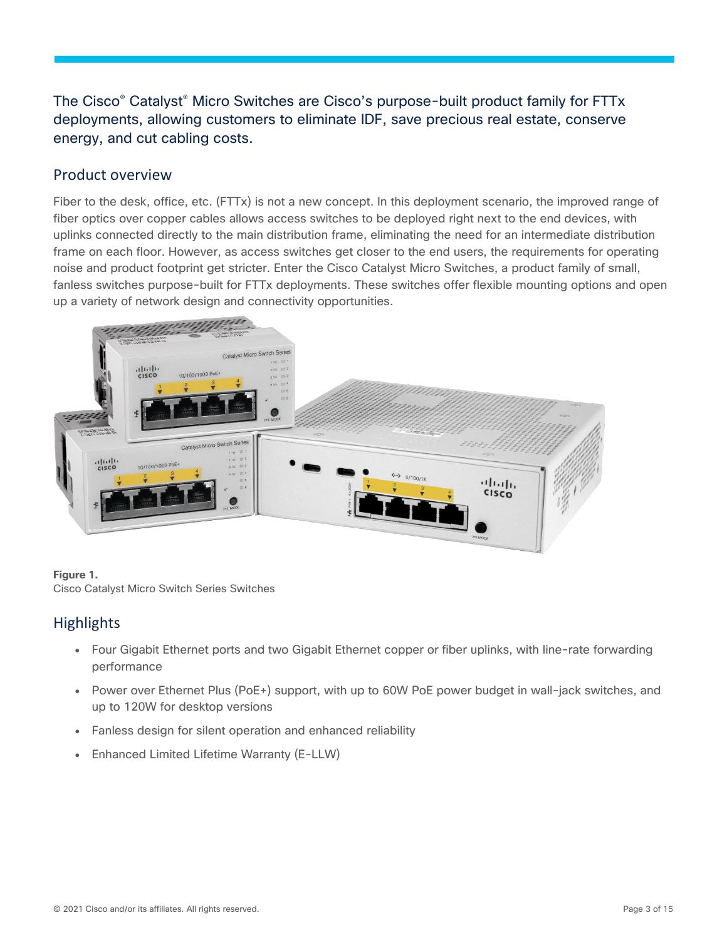## The Cisco® Catalyst® Micro Switches are Cisco's purpose-built product family for FTTx deployments, allowing customers to eliminate IDF, save precious real estate, conserve energy, and cut cabling costs.

## <span id="page-2-0"></span>Product overview

Fiber to the desk, office, etc. (FTTx) is not a new concept. In this deployment scenario, the improved range of fiber optics over copper cables allows access switches to be deployed right next to the end devices, with uplinks connected directly to the main distribution frame, eliminating the need for an intermediate distribution frame on each floor. However, as access switches get closer to the end users, the requirements for operating noise and product footprint get stricter. Enter the Cisco Catalyst Micro Switches, a product family of small, fanless switches purpose-built for FTTx deployments. These switches offer flexible mounting options and open up a variety of network design and connectivity opportunities.



#### **Figure 1.**

Cisco Catalyst Micro Switch Series Switches

## <span id="page-2-1"></span>**Highlights**

- Four Gigabit Ethernet ports and two Gigabit Ethernet copper or fiber uplinks, with line-rate forwarding performance
- Power over Ethernet Plus (PoE+) support, with up to 60W PoE power budget in wall-jack switches, and up to 120W for desktop versions
- Fanless design for silent operation and enhanced reliability
- **Enhanced Limited Lifetime Warranty (E-LLW)**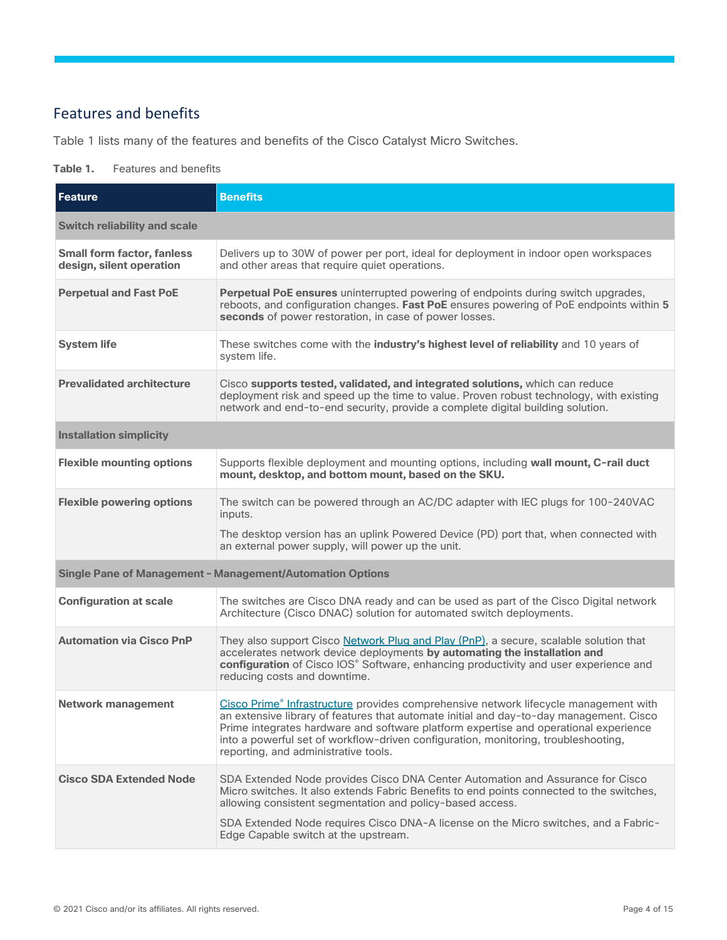## <span id="page-3-0"></span>Features and benefits

Table 1 lists many of the features and benefits of the Cisco Catalyst Micro Switches.

#### **Table 1.** Features and benefits

| <b>Feature</b>                                                | <b>Benefits</b>                                                                                                                                                                                                                                                                                                                                                                                       |  |  |  |
|---------------------------------------------------------------|-------------------------------------------------------------------------------------------------------------------------------------------------------------------------------------------------------------------------------------------------------------------------------------------------------------------------------------------------------------------------------------------------------|--|--|--|
| <b>Switch reliability and scale</b>                           |                                                                                                                                                                                                                                                                                                                                                                                                       |  |  |  |
| <b>Small form factor, fanless</b><br>design, silent operation | Delivers up to 30W of power per port, ideal for deployment in indoor open workspaces<br>and other areas that require quiet operations.                                                                                                                                                                                                                                                                |  |  |  |
| <b>Perpetual and Fast PoE</b>                                 | Perpetual PoE ensures uninterrupted powering of endpoints during switch upgrades,<br>reboots, and configuration changes. Fast PoE ensures powering of PoE endpoints within 5<br>seconds of power restoration, in case of power losses.                                                                                                                                                                |  |  |  |
| <b>System life</b>                                            | These switches come with the industry's highest level of reliability and 10 years of<br>system life.                                                                                                                                                                                                                                                                                                  |  |  |  |
| <b>Prevalidated architecture</b>                              | Cisco supports tested, validated, and integrated solutions, which can reduce<br>deployment risk and speed up the time to value. Proven robust technology, with existing<br>network and end-to-end security, provide a complete digital building solution.                                                                                                                                             |  |  |  |
| <b>Installation simplicity</b>                                |                                                                                                                                                                                                                                                                                                                                                                                                       |  |  |  |
| <b>Flexible mounting options</b>                              | Supports flexible deployment and mounting options, including wall mount, C-rail duct<br>mount, desktop, and bottom mount, based on the SKU.                                                                                                                                                                                                                                                           |  |  |  |
| <b>Flexible powering options</b>                              | The switch can be powered through an AC/DC adapter with IEC plugs for 100-240VAC<br>inputs.                                                                                                                                                                                                                                                                                                           |  |  |  |
|                                                               | The desktop version has an uplink Powered Device (PD) port that, when connected with<br>an external power supply, will power up the unit.                                                                                                                                                                                                                                                             |  |  |  |
|                                                               | Single Pane of Management - Management/Automation Options                                                                                                                                                                                                                                                                                                                                             |  |  |  |
| <b>Configuration at scale</b>                                 | The switches are Cisco DNA ready and can be used as part of the Cisco Digital network<br>Architecture (Cisco DNAC) solution for automated switch deployments.                                                                                                                                                                                                                                         |  |  |  |
| <b>Automation via Cisco PnP</b>                               | They also support Cisco Network Plug and Play (PnP), a secure, scalable solution that<br>accelerates network device deployments by automating the installation and<br>configuration of Cisco IOS® Software, enhancing productivity and user experience and<br>reducing costs and downtime.                                                                                                            |  |  |  |
| <b>Network management</b>                                     | Cisco Prime® Infrastructure provides comprehensive network lifecycle management with<br>an extensive library of features that automate initial and day-to-day management. Cisco<br>Prime integrates hardware and software platform expertise and operational experience<br>into a powerful set of workflow-driven configuration, monitoring, troubleshooting,<br>reporting, and administrative tools. |  |  |  |
| <b>Cisco SDA Extended Node</b>                                | SDA Extended Node provides Cisco DNA Center Automation and Assurance for Cisco<br>Micro switches. It also extends Fabric Benefits to end points connected to the switches,<br>allowing consistent segmentation and policy-based access.<br>SDA Extended Node requires Cisco DNA-A license on the Micro switches, and a Fabric-<br>Edge Capable switch at the upstream.                                |  |  |  |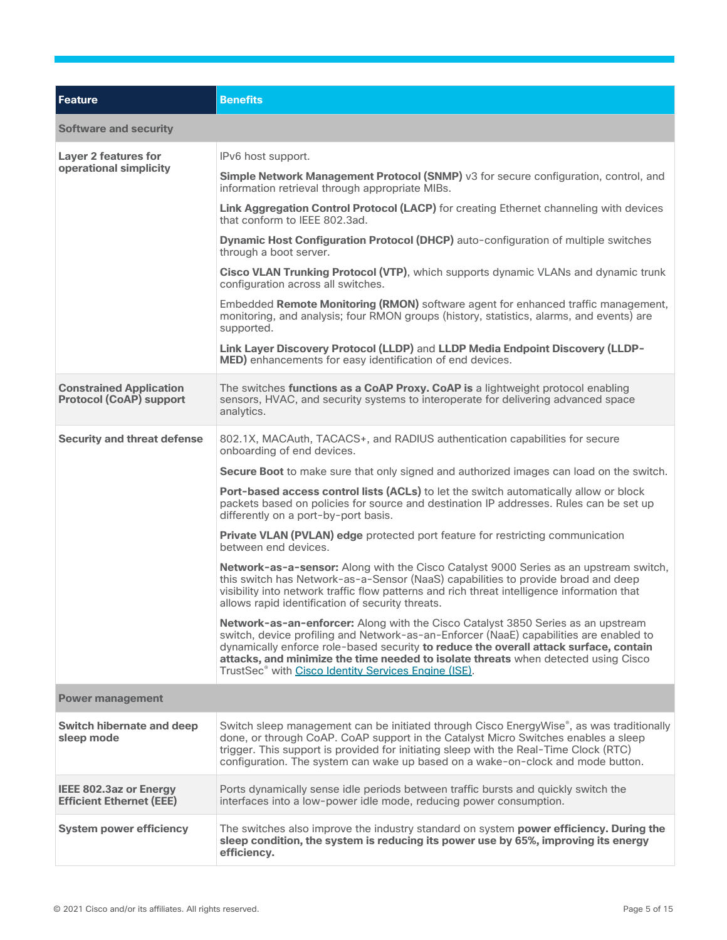| <b>Feature</b>                                                                                                                                  | <b>Benefits</b>                                                                                                                                                                                                                                                                                                                                                                                                               |
|-------------------------------------------------------------------------------------------------------------------------------------------------|-------------------------------------------------------------------------------------------------------------------------------------------------------------------------------------------------------------------------------------------------------------------------------------------------------------------------------------------------------------------------------------------------------------------------------|
| <b>Software and security</b>                                                                                                                    |                                                                                                                                                                                                                                                                                                                                                                                                                               |
| <b>Layer 2 features for</b>                                                                                                                     | IPv6 host support.                                                                                                                                                                                                                                                                                                                                                                                                            |
| operational simplicity                                                                                                                          | Simple Network Management Protocol (SNMP) v3 for secure configuration, control, and<br>information retrieval through appropriate MIBs.                                                                                                                                                                                                                                                                                        |
|                                                                                                                                                 | Link Aggregation Control Protocol (LACP) for creating Ethernet channeling with devices<br>that conform to IEEE 802.3ad.                                                                                                                                                                                                                                                                                                       |
|                                                                                                                                                 | Dynamic Host Configuration Protocol (DHCP) auto-configuration of multiple switches<br>through a boot server.                                                                                                                                                                                                                                                                                                                  |
|                                                                                                                                                 | Cisco VLAN Trunking Protocol (VTP), which supports dynamic VLANs and dynamic trunk<br>configuration across all switches.                                                                                                                                                                                                                                                                                                      |
|                                                                                                                                                 | Embedded Remote Monitoring (RMON) software agent for enhanced traffic management,<br>monitoring, and analysis; four RMON groups (history, statistics, alarms, and events) are<br>supported.                                                                                                                                                                                                                                   |
|                                                                                                                                                 | Link Layer Discovery Protocol (LLDP) and LLDP Media Endpoint Discovery (LLDP-<br>MED) enhancements for easy identification of end devices.                                                                                                                                                                                                                                                                                    |
| <b>Constrained Application</b><br><b>Protocol (CoAP) support</b>                                                                                | The switches functions as a CoAP Proxy. CoAP is a lightweight protocol enabling<br>sensors, HVAC, and security systems to interoperate for delivering advanced space<br>analytics.                                                                                                                                                                                                                                            |
| <b>Security and threat defense</b><br>802.1X, MACAuth, TACACS+, and RADIUS authentication capabilities for secure<br>onboarding of end devices. |                                                                                                                                                                                                                                                                                                                                                                                                                               |
|                                                                                                                                                 | Secure Boot to make sure that only signed and authorized images can load on the switch.                                                                                                                                                                                                                                                                                                                                       |
|                                                                                                                                                 | <b>Port-based access control lists (ACLs)</b> to let the switch automatically allow or block<br>packets based on policies for source and destination IP addresses. Rules can be set up<br>differently on a port-by-port basis.                                                                                                                                                                                                |
|                                                                                                                                                 | Private VLAN (PVLAN) edge protected port feature for restricting communication<br>between end devices.                                                                                                                                                                                                                                                                                                                        |
|                                                                                                                                                 | Network-as-a-sensor: Along with the Cisco Catalyst 9000 Series as an upstream switch,<br>this switch has Network-as-a-Sensor (NaaS) capabilities to provide broad and deep<br>visibility into network traffic flow patterns and rich threat intelligence information that<br>allows rapid identification of security threats.                                                                                                 |
|                                                                                                                                                 | Network-as-an-enforcer: Along with the Cisco Catalyst 3850 Series as an upstream<br>switch, device profiling and Network-as-an-Enforcer (NaaE) capabilities are enabled to<br>dynamically enforce role-based security to reduce the overall attack surface, contain<br>attacks, and minimize the time needed to isolate threats when detected using Cisco<br>TrustSec <sup>®</sup> with Cisco Identity Services Engine (ISE). |
| <b>Power management</b>                                                                                                                         |                                                                                                                                                                                                                                                                                                                                                                                                                               |
| <b>Switch hibernate and deep</b><br>sleep mode                                                                                                  | Switch sleep management can be initiated through Cisco EnergyWise®, as was traditionally<br>done, or through CoAP. CoAP support in the Catalyst Micro Switches enables a sleep<br>trigger. This support is provided for initiating sleep with the Real-Time Clock (RTC)<br>configuration. The system can wake up based on a wake-on-clock and mode button.                                                                    |
| IEEE 802.3az or Energy<br><b>Efficient Ethernet (EEE)</b>                                                                                       | Ports dynamically sense idle periods between traffic bursts and quickly switch the<br>interfaces into a low-power idle mode, reducing power consumption.                                                                                                                                                                                                                                                                      |
| <b>System power efficiency</b>                                                                                                                  | The switches also improve the industry standard on system power efficiency. During the<br>sleep condition, the system is reducing its power use by 65%, improving its energy<br>efficiency.                                                                                                                                                                                                                                   |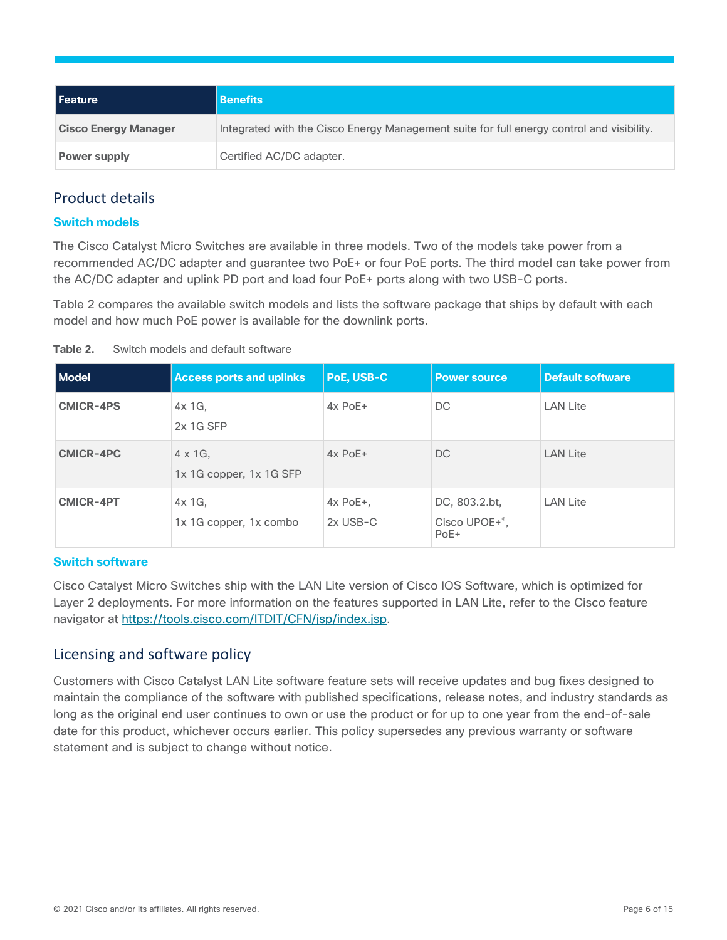| l Feature                   | <b>Benefits</b>                                                                           |
|-----------------------------|-------------------------------------------------------------------------------------------|
| <b>Cisco Energy Manager</b> | Integrated with the Cisco Energy Management suite for full energy control and visibility. |
| <b>Power supply</b>         | Certified AC/DC adapter.                                                                  |

## <span id="page-5-0"></span>Product details

#### **Switch models**

The Cisco Catalyst Micro Switches are available in three models. Two of the models take power from a recommended AC/DC adapter and guarantee two PoE+ or four PoE ports. The third model can take power from the AC/DC adapter and uplink PD port and load four PoE+ ports along with two USB-C ports.

Table 2 compares the available switch models and lists the software package that ships by default with each model and how much PoE power is available for the downlink ports.

| Table 2.<br>Switch models and default software |
|------------------------------------------------|
|------------------------------------------------|

| <b>Model</b>     | <b>Access ports and uplinks</b>            | PoE, USB-C                 | <b>Power source</b>                                   | <b>Default software</b> |
|------------------|--------------------------------------------|----------------------------|-------------------------------------------------------|-------------------------|
| <b>CMICR-4PS</b> | $4x$ 1G,<br>2x 1G SFP                      | $4x$ PoE+                  | DC.                                                   | <b>LAN Lite</b>         |
| <b>CMICR-4PC</b> | $4 \times 1$ G.<br>1x 1G copper, 1x 1G SFP | $4x$ PoE+                  | DC.                                                   | <b>LAN Lite</b>         |
| <b>CMICR-4PT</b> | $4x$ 1G,<br>1x 1G copper, 1x combo         | $4x$ PoE $+$ ,<br>2x USB-C | DC, 803.2.bt,<br>Cisco UPOE+ <sup>°</sup> ,<br>$PoE+$ | <b>LAN Lite</b>         |

#### **Switch software**

Cisco Catalyst Micro Switches ship with the LAN Lite version of Cisco IOS Software, which is optimized for Layer 2 deployments. For more information on the features supported in LAN Lite, refer to the Cisco feature navigator at [https://tools.cisco.com/ITDIT/CFN/jsp/index.jsp.](https://tools.cisco.com/ITDIT/CFN/jsp/index.jsp)

## <span id="page-5-1"></span>Licensing and software policy

Customers with Cisco Catalyst LAN Lite software feature sets will receive updates and bug fixes designed to maintain the compliance of the software with published specifications, release notes, and industry standards as long as the original end user continues to own or use the product or for up to one year from the end-of-sale date for this product, whichever occurs earlier. This policy supersedes any previous warranty or software statement and is subject to change without notice.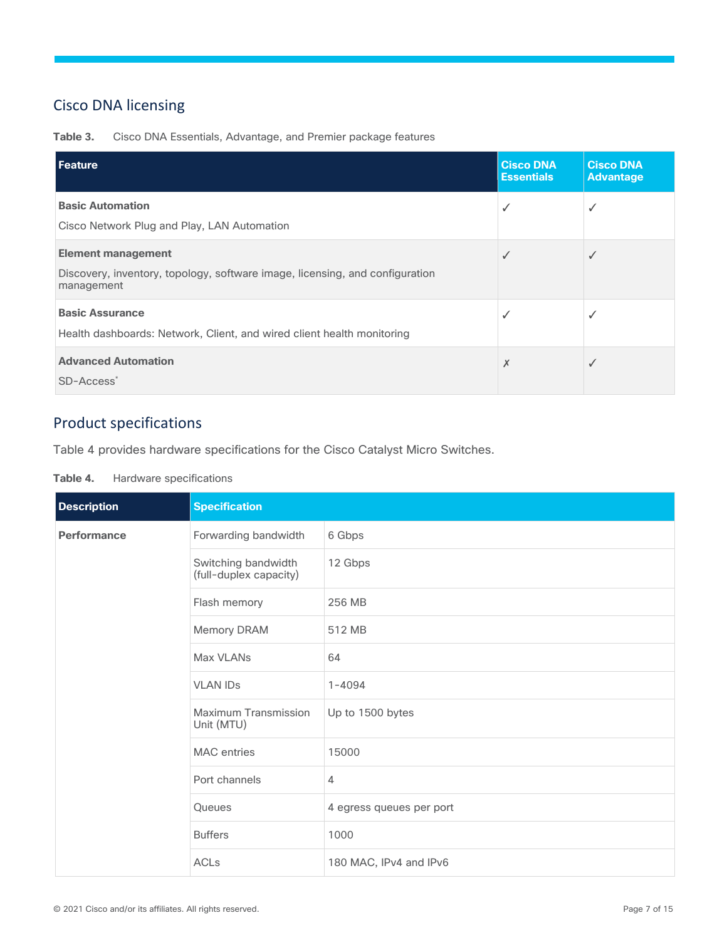## <span id="page-6-0"></span>Cisco DNA licensing

**Table 3.** Cisco DNA Essentials, Advantage, and Premier package features

| Feature                                                                                                                 | <b>Cisco DNA</b><br><b>Essentials</b> | <b>Cisco DNA</b><br><b>Advantage</b> |
|-------------------------------------------------------------------------------------------------------------------------|---------------------------------------|--------------------------------------|
| <b>Basic Automation</b><br>Cisco Network Plug and Play, LAN Automation                                                  | √                                     |                                      |
| <b>Element management</b><br>Discovery, inventory, topology, software image, licensing, and configuration<br>management | ✓                                     | √                                    |
| <b>Basic Assurance</b><br>Health dashboards: Network, Client, and wired client health monitoring                        |                                       |                                      |
| <b>Advanced Automation</b><br>SD-Access <sup>*</sup>                                                                    | Х                                     | √                                    |

## <span id="page-6-1"></span>Product specifications

Table 4 provides hardware specifications for the Cisco Catalyst Micro Switches.

| Hardware specifications<br>Table 4. |  |
|-------------------------------------|--|
|-------------------------------------|--|

| <b>Description</b> | <b>Specification</b>                          |                          |  |
|--------------------|-----------------------------------------------|--------------------------|--|
| <b>Performance</b> | Forwarding bandwidth                          | 6 Gbps                   |  |
|                    | Switching bandwidth<br>(full-duplex capacity) | 12 Gbps                  |  |
|                    | Flash memory                                  | 256 MB                   |  |
|                    | Memory DRAM                                   | 512 MB                   |  |
|                    | Max VLANs                                     | 64                       |  |
|                    | <b>VLAN IDs</b>                               | $1 - 4094$               |  |
|                    | Maximum Transmission<br>Unit (MTU)            | Up to 1500 bytes         |  |
|                    | <b>MAC</b> entries                            | 15000                    |  |
|                    | Port channels                                 | $\overline{4}$           |  |
|                    | Queues                                        | 4 egress queues per port |  |
|                    | <b>Buffers</b>                                | 1000                     |  |
|                    | <b>ACLs</b>                                   | 180 MAC, IPv4 and IPv6   |  |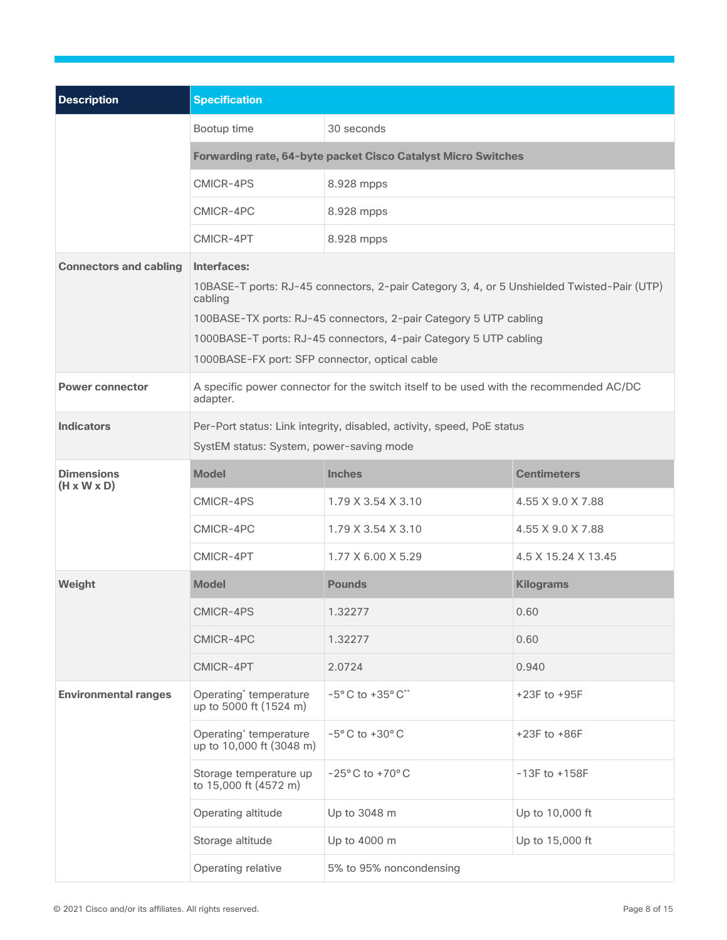| <b>Description</b>                           | <b>Specification</b>                                                                                                                                                                                                                                                                                             |                                                                                        |                     |  |
|----------------------------------------------|------------------------------------------------------------------------------------------------------------------------------------------------------------------------------------------------------------------------------------------------------------------------------------------------------------------|----------------------------------------------------------------------------------------|---------------------|--|
|                                              | Bootup time                                                                                                                                                                                                                                                                                                      | 30 seconds                                                                             |                     |  |
|                                              | Forwarding rate, 64-byte packet Cisco Catalyst Micro Switches                                                                                                                                                                                                                                                    |                                                                                        |                     |  |
|                                              | CMICR-4PS                                                                                                                                                                                                                                                                                                        | 8.928 mpps                                                                             |                     |  |
|                                              | CMICR-4PC                                                                                                                                                                                                                                                                                                        | 8.928 mpps                                                                             |                     |  |
|                                              | CMICR-4PT                                                                                                                                                                                                                                                                                                        | 8.928 mpps                                                                             |                     |  |
| <b>Connectors and cabling</b>                | Interfaces:<br>10BASE-T ports: RJ-45 connectors, 2-pair Category 3, 4, or 5 Unshielded Twisted-Pair (UTP)<br>cabling<br>100BASE-TX ports: RJ-45 connectors, 2-pair Category 5 UTP cabling<br>1000BASE-T ports: RJ-45 connectors, 4-pair Category 5 UTP cabling<br>1000BASE-FX port: SFP connector, optical cable |                                                                                        |                     |  |
| <b>Power connector</b>                       | adapter.                                                                                                                                                                                                                                                                                                         | A specific power connector for the switch itself to be used with the recommended AC/DC |                     |  |
| <b>Indicators</b>                            | Per-Port status: Link integrity, disabled, activity, speed, PoE status<br>SystEM status: System, power-saving mode                                                                                                                                                                                               |                                                                                        |                     |  |
| <b>Dimensions</b><br>$(H \times W \times D)$ | <b>Model</b>                                                                                                                                                                                                                                                                                                     | <b>Inches</b>                                                                          | <b>Centimeters</b>  |  |
|                                              | CMICR-4PS                                                                                                                                                                                                                                                                                                        | 1.79 X 3.54 X 3.10                                                                     | 4.55 X 9.0 X 7.88   |  |
|                                              | CMICR-4PC                                                                                                                                                                                                                                                                                                        | 1.79 X 3.54 X 3.10                                                                     | 4.55 X 9.0 X 7.88   |  |
|                                              | CMICR-4PT                                                                                                                                                                                                                                                                                                        | 1.77 X 6.00 X 5.29                                                                     | 4.5 X 15.24 X 13.45 |  |
| Weight                                       | <b>Model</b>                                                                                                                                                                                                                                                                                                     | <b>Pounds</b>                                                                          | <b>Kilograms</b>    |  |
|                                              | CMICR-4PS                                                                                                                                                                                                                                                                                                        | 1.32277                                                                                | 0.60                |  |
|                                              | CMICR-4PC                                                                                                                                                                                                                                                                                                        | 1.32277                                                                                | 0.60                |  |
|                                              | CMICR-4PT                                                                                                                                                                                                                                                                                                        | 2.0724                                                                                 | 0.940               |  |
| <b>Environmental ranges</b>                  | Operating <sup>*</sup> temperature<br>up to 5000 ft (1524 m)                                                                                                                                                                                                                                                     | $-5^{\circ}$ C to $+35^{\circ}$ C**                                                    | +23F to +95F        |  |
|                                              | Operating <sup>*</sup> temperature<br>up to 10,000 ft (3048 m)                                                                                                                                                                                                                                                   | $-5^{\circ}$ C to $+30^{\circ}$ C                                                      | +23F to +86F        |  |
|                                              | Storage temperature up<br>to 15,000 ft (4572 m)                                                                                                                                                                                                                                                                  | $-25^{\circ}$ C to $+70^{\circ}$ C                                                     | $-13F$ to $+158F$   |  |
|                                              | Operating altitude                                                                                                                                                                                                                                                                                               | Up to 3048 m                                                                           | Up to 10,000 ft     |  |
|                                              | Storage altitude                                                                                                                                                                                                                                                                                                 | Up to 4000 m                                                                           | Up to 15,000 ft     |  |
|                                              | Operating relative                                                                                                                                                                                                                                                                                               | 5% to 95% noncondensing                                                                |                     |  |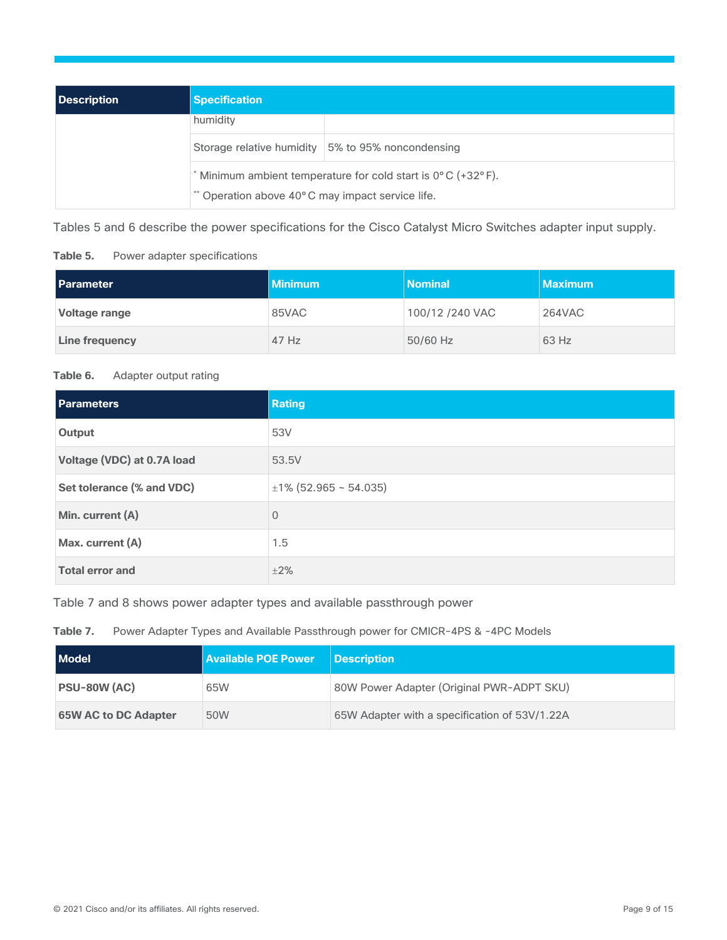| <b>Description</b> | <b>Specification</b>                                                                                           |                                                   |  |
|--------------------|----------------------------------------------------------------------------------------------------------------|---------------------------------------------------|--|
|                    | humidity                                                                                                       |                                                   |  |
|                    |                                                                                                                | Storage relative humidity 5% to 95% noncondensing |  |
|                    | Minimum ambient temperature for cold start is 0°C (+32°F).<br>** Operation above 40°C may impact service life. |                                                   |  |

Tables 5 and 6 describe the power specifications for the Cisco Catalyst Micro Switches adapter input supply.

**Table 5.** Power adapter specifications

| Parameter      | <b>Minimum</b> | <b>Nominal</b>  | Maximum |
|----------------|----------------|-----------------|---------|
| Voltage range  | 85VAC          | 100/12 /240 VAC | 264VAC  |
| Line frequency | $47$ Hz        | 50/60 Hz        | 63 Hz   |

#### **Table 6.** Adapter output rating

| <b>Parameters</b>          | <b>Rating</b>              |
|----------------------------|----------------------------|
| Output                     | 53V                        |
| Voltage (VDC) at 0.7A load | 53.5V                      |
| Set tolerance (% and VDC)  | $\pm$ 1% (52.965 ~ 54.035) |
| Min. current (A)           | $\mathbf{0}$               |
| Max. current (A)           | 1.5                        |
| <b>Total error and</b>     | $+2%$                      |

Table 7 and 8 shows power adapter types and available passthrough power

Table 7. Power Adapter Types and Available Passthrough power for CMICR-4PS & -4PC Models

| <b>Model</b>                | <b>Available POE Power</b> | <b>Description</b>                            |
|-----------------------------|----------------------------|-----------------------------------------------|
| <b>PSU-80W (AC)</b>         | 65W                        | 80W Power Adapter (Original PWR-ADPT SKU)     |
| <b>65W AC to DC Adapter</b> | 50W                        | 65W Adapter with a specification of 53V/1.22A |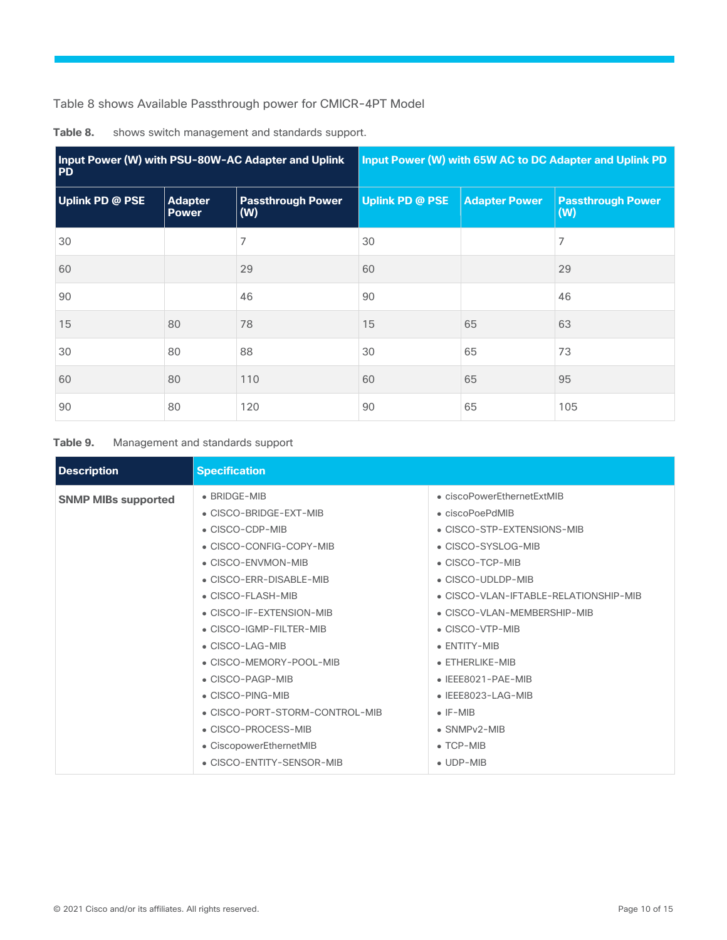Table 8 shows Available Passthrough power for CMICR-4PT Model

| Input Power (W) with PSU-80W-AC Adapter and Uplink<br><b>PD</b> |                                | Input Power (W) with 65W AC to DC Adapter and Uplink PD |                        |                      |                                 |
|-----------------------------------------------------------------|--------------------------------|---------------------------------------------------------|------------------------|----------------------|---------------------------------|
| <b>Uplink PD @ PSE</b>                                          | <b>Adapter</b><br><b>Power</b> | <b>Passthrough Power</b><br>(W)                         | <b>Uplink PD @ PSE</b> | <b>Adapter Power</b> | <b>Passthrough Power</b><br>(W) |
| 30                                                              |                                | 7                                                       | 30                     |                      | 7                               |
| 60                                                              |                                | 29                                                      | 60                     |                      | 29                              |
| 90                                                              |                                | 46                                                      | 90                     |                      | 46                              |
| 15                                                              | 80                             | 78                                                      | 15                     | 65                   | 63                              |
| 30                                                              | 80                             | 88                                                      | 30                     | 65                   | 73                              |
| 60                                                              | 80                             | 110                                                     | 60                     | 65                   | 95                              |
| 90                                                              | 80                             | 120                                                     | 90                     | 65                   | 105                             |

**Table 8.** shows switch management and standards support.

#### **Table 9.** Management and standards support

| <b>Description</b>         | <b>Specification</b>           |                                       |
|----------------------------|--------------------------------|---------------------------------------|
| <b>SNMP MIBs supported</b> | • BRIDGE-MIB                   | • ciscoPowerEthernetExtMIB            |
|                            | • CISCO-BRIDGE-EXT-MIB         | $\bullet$ ciscoPoePdMIB               |
|                            | • CISCO-CDP-MIB                | • CISCO-STP-EXTENSIONS-MIB            |
|                            | • CISCO-CONFIG-COPY-MIB        | • CISCO-SYSLOG-MIB                    |
|                            | • CISCO-ENVMON-MIB             | • CISCO-TCP-MIB                       |
|                            | • CISCO-ERR-DISABLE-MIB        | • CISCO-UDLDP-MIB                     |
|                            | • CISCO-FLASH-MIB              | • CISCO-VLAN-IFTABLE-RELATIONSHIP-MIB |
|                            | • CISCO-IF-EXTENSION-MIB       | • CISCO-VLAN-MEMBERSHIP-MIB           |
|                            | • CISCO-IGMP-FILTER-MIB        | • CISCO-VTP-MIB                       |
|                            | • CISCO-LAG-MIB                | • ENTITY-MIB                          |
|                            | • CISCO-MEMORY-POOL-MIB        | $\bullet$ ETHERLIKE-MIB               |
|                            | $\bullet$ CISCO-PAGP-MIB       | $\bullet$ IEEE8021-PAE-MIB            |
|                            | $\bullet$ CISCO-PING-MIB       | $\bullet$ IEEE8023-LAG-MIB            |
|                            | • CISCO-PORT-STORM-CONTROL-MIB | $\bullet$ IF-MIR                      |
|                            | • CISCO-PROCESS-MIB            | $\bullet$ SNMP $v2$ -MIB              |
|                            | • CiscopowerEthernetMIB        | $\bullet$ TCP-MIB                     |
|                            | • CISCO-ENTITY-SENSOR-MIB      | $\bullet$ UDP-MIB                     |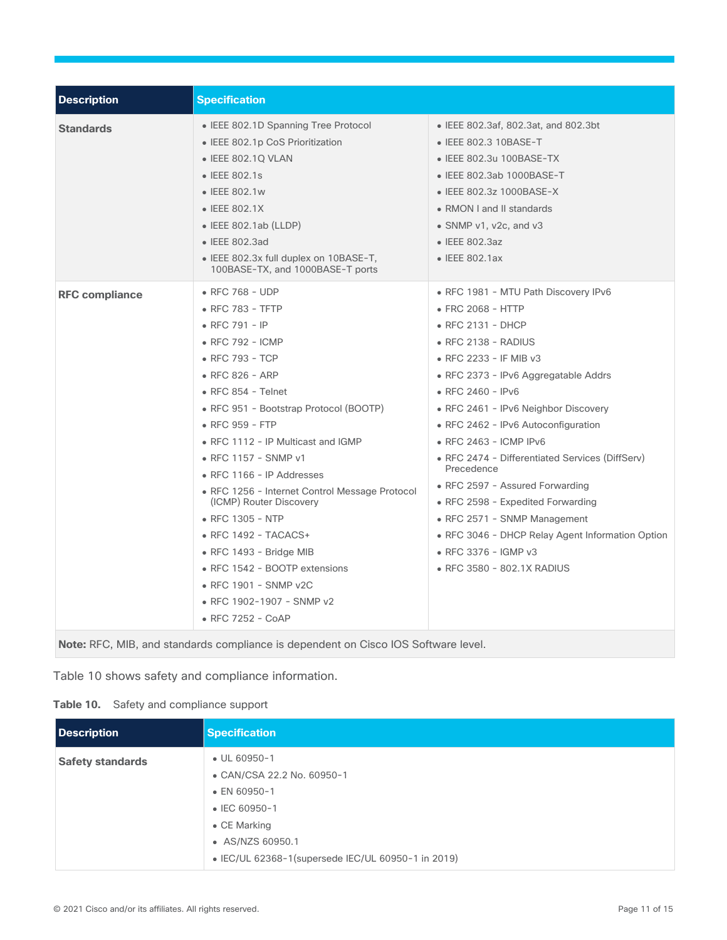| <b>Description</b>    | <b>Specification</b>                                                                                                                                                                                                                                                                                                                                                                                                                                                                                                                                                                  |                                                                                                                                                                                                                                                                                                                                                                                                                                                                                                                                                                                                          |
|-----------------------|---------------------------------------------------------------------------------------------------------------------------------------------------------------------------------------------------------------------------------------------------------------------------------------------------------------------------------------------------------------------------------------------------------------------------------------------------------------------------------------------------------------------------------------------------------------------------------------|----------------------------------------------------------------------------------------------------------------------------------------------------------------------------------------------------------------------------------------------------------------------------------------------------------------------------------------------------------------------------------------------------------------------------------------------------------------------------------------------------------------------------------------------------------------------------------------------------------|
| <b>Standards</b>      | • IEEE 802.1D Spanning Tree Protocol<br>• IEEE 802.1p CoS Prioritization<br>• IEEE 802.1Q VLAN<br>• IEEE 802.1s<br>• IEEE 802.1w<br>• IEEE 802.1X<br>$\bullet$ IEEE 802.1ab (LLDP)<br>• IEEE 802.3ad<br>• IEEE 802.3x full duplex on 10BASE-T,<br>100BASE-TX, and 1000BASE-T ports                                                                                                                                                                                                                                                                                                    | • IEEE 802.3af, 802.3at, and 802.3bt<br>• IEEE 802.3 10BASE-T<br>• IEEE 802.3u 100BASE-TX<br>• IEEE 802.3ab 1000BASE-T<br>• IEEE 802.3z 1000BASE-X<br>• RMON I and II standards<br>• SNMP v1, v2c, and v3<br>$\bullet$ IEEE 802.3az<br>• IEEE 802.1ax                                                                                                                                                                                                                                                                                                                                                    |
| <b>RFC compliance</b> | • RFC 768 - UDP<br>• RFC 783 - TFTP<br>• RFC 791 - IP<br>• RFC 792 - ICMP<br>• RFC 793 - TCP<br>• RFC 826 - ARP<br>$\bullet$ RFC 854 - Telnet<br>• RFC 951 - Bootstrap Protocol (BOOTP)<br>• RFC 959 - FTP<br>• RFC 1112 - IP Multicast and IGMP<br>• RFC 1157 - SNMP v1<br>$\bullet$ RFC 1166 - IP Addresses<br>• RFC 1256 - Internet Control Message Protocol<br>(ICMP) Router Discovery<br>• RFC 1305 - NTP<br>• RFC 1492 - TACACS+<br>$\bullet$ RFC 1493 - Bridge MIB<br>• RFC 1542 - BOOTP extensions<br>• RFC 1901 - SNMP v2C<br>• RFC 1902-1907 - SNMP v2<br>• RFC 7252 - CoAP | • RFC 1981 - MTU Path Discovery IPv6<br>• FRC 2068 - HTTP<br>$\bullet$ RFC 2131 - DHCP<br>$\bullet$ RFC 2138 - RADIUS<br>• RFC 2233 - IF MIB v3<br>• RFC 2373 - IPv6 Aggregatable Addrs<br>• RFC 2460 - IPv6<br>• RFC 2461 - IPv6 Neighbor Discovery<br>• RFC 2462 - IPv6 Autoconfiguration<br>• RFC 2463 - ICMP IPv6<br>• RFC 2474 - Differentiated Services (DiffServ)<br>Precedence<br>• RFC 2597 - Assured Forwarding<br>• RFC 2598 - Expedited Forwarding<br>• RFC 2571 - SNMP Management<br>• RFC 3046 - DHCP Relay Agent Information Option<br>• RFC 3376 - IGMP v3<br>• RFC 3580 - 802.1X RADIUS |

**Note:** RFC, MIB, and standards compliance is dependent on Cisco IOS Software level.

Table 10 shows safety and compliance information.

#### **Table 10.** Safety and compliance support

| <b>Description</b>      | <b>Specification</b>                                                                                                        |
|-------------------------|-----------------------------------------------------------------------------------------------------------------------------|
| <b>Safety standards</b> | $\bullet$ UL 60950-1<br>• CAN/CSA 22.2 No. 60950-1<br>$\bullet$ EN 60950-1<br>$\bullet$ IEC 60950-1<br>$\bullet$ CE Marking |
|                         | • AS/NZS 60950.1<br>• IEC/UL 62368-1(supersede IEC/UL 60950-1 in 2019)                                                      |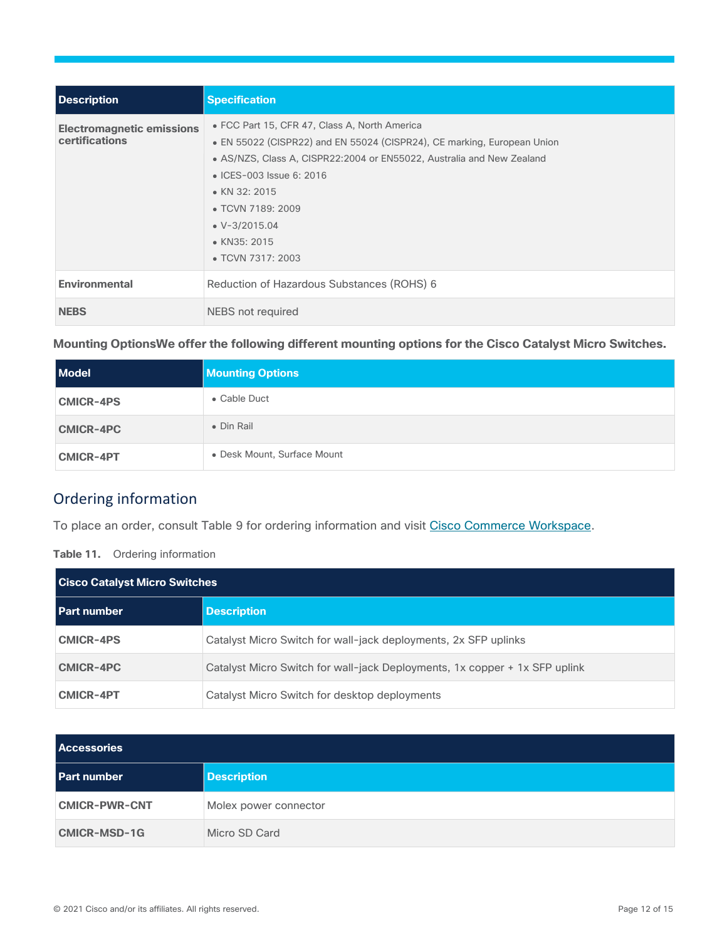| Description                                               | <b>Specification</b>                                                                                                                                                                                                                                                                                                                      |
|-----------------------------------------------------------|-------------------------------------------------------------------------------------------------------------------------------------------------------------------------------------------------------------------------------------------------------------------------------------------------------------------------------------------|
| <b>Electromagnetic emissions</b><br><b>certifications</b> | • FCC Part 15, CFR 47, Class A, North America<br>• EN 55022 (CISPR22) and EN 55024 (CISPR24), CE marking, European Union<br>• AS/NZS, Class A, CISPR22:2004 or EN55022, Australia and New Zealand<br>• ICES-003 Issue 6: 2016<br>$\bullet$ KN 32: 2015<br>• TCVN 7189: 2009<br>$\bullet$ V-3/2015.04<br>• KN35: 2015<br>• TCVN 7317: 2003 |
| <b>Environmental</b>                                      | Reduction of Hazardous Substances (ROHS) 6                                                                                                                                                                                                                                                                                                |
| <b>NEBS</b>                                               | NEBS not required                                                                                                                                                                                                                                                                                                                         |

**Mounting OptionsWe offer the following different mounting options for the Cisco Catalyst Micro Switches.** 

| <b>Model</b>     | <b>Mounting Options</b>     |
|------------------|-----------------------------|
| <b>CMICR-4PS</b> | • Cable Duct                |
| <b>CMICR-4PC</b> | • Din Rail                  |
| <b>CMICR-4PT</b> | • Desk Mount, Surface Mount |

## <span id="page-11-0"></span>Ordering information

To place an order, consult Table 9 for ordering information and visit Cisco Commerce [Workspace.](https://cisco-router-switch-firewall.com/cisco/switches/catalyst-micro-switches/)

#### **Table 11.** Ordering information

| <b>Cisco Catalyst Micro Switches</b> |                                                                            |
|--------------------------------------|----------------------------------------------------------------------------|
| l Part number                        | <b>Description</b>                                                         |
| <b>CMICR-4PS</b>                     | Catalyst Micro Switch for wall-jack deployments, 2x SFP uplinks            |
| <b>CMICR-4PC</b>                     | Catalyst Micro Switch for wall-jack Deployments, 1x copper + 1x SFP uplink |
| <b>CMICR-4PT</b>                     | Catalyst Micro Switch for desktop deployments                              |

| <b>Accessories</b>   |                       |
|----------------------|-----------------------|
| <b>Part number</b>   | <b>Description</b>    |
| <b>CMICR-PWR-CNT</b> | Molex power connector |
| <b>CMICR-MSD-1G</b>  | Micro SD Card         |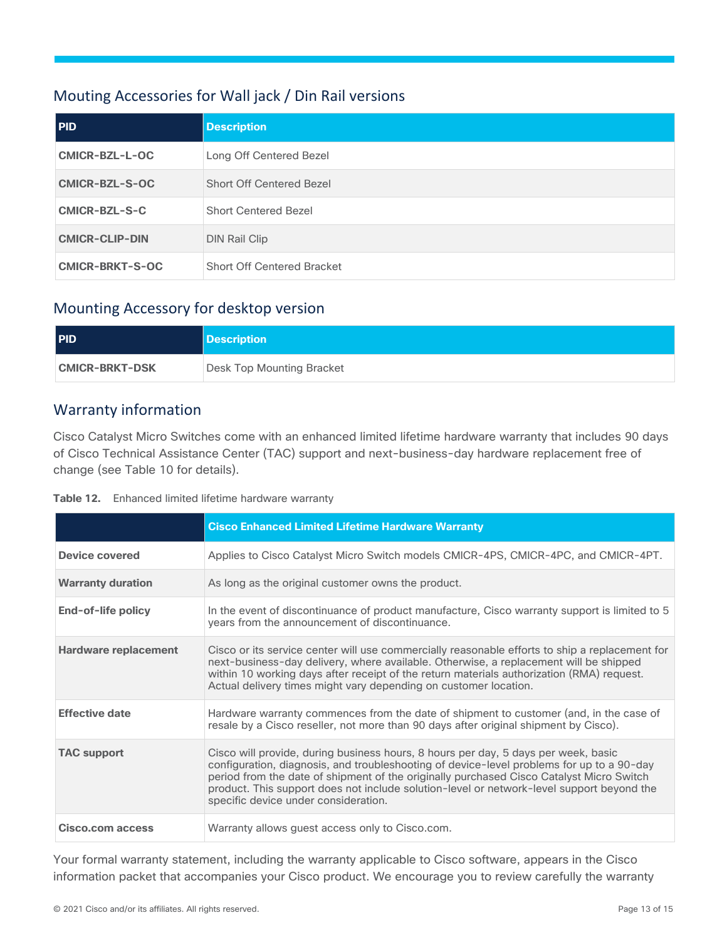## <span id="page-12-0"></span>Mouting Accessories for Wall jack / Din Rail versions

| <b>PID</b>             | <b>Description</b>                |
|------------------------|-----------------------------------|
| CMICR-BZL-L-OC         | Long Off Centered Bezel           |
| <b>CMICR-BZL-S-OC</b>  | <b>Short Off Centered Bezel</b>   |
| CMICR-BZL-S-C          | <b>Short Centered Bezel</b>       |
| <b>CMICR-CLIP-DIN</b>  | <b>DIN Rail Clip</b>              |
| <b>CMICR-BRKT-S-OC</b> | <b>Short Off Centered Bracket</b> |

## <span id="page-12-1"></span>Mounting Accessory for desktop version

| <b>PID</b>            | <b>Description</b>        |
|-----------------------|---------------------------|
| <b>CMICR-BRKT-DSK</b> | Desk Top Mounting Bracket |

## <span id="page-12-2"></span>Warranty information

Cisco Catalyst Micro Switches come with an enhanced limited lifetime hardware warranty that includes 90 days of Cisco Technical Assistance Center (TAC) support and next-business-day hardware replacement free of change (see Table 10 for details).

| Table 12. | Enhanced limited lifetime hardware warranty |
|-----------|---------------------------------------------|
|-----------|---------------------------------------------|

|                             | <b>Cisco Enhanced Limited Lifetime Hardware Warranty</b>                                                                                                                                                                                                                                                                                                                                                         |
|-----------------------------|------------------------------------------------------------------------------------------------------------------------------------------------------------------------------------------------------------------------------------------------------------------------------------------------------------------------------------------------------------------------------------------------------------------|
| <b>Device covered</b>       | Applies to Cisco Catalyst Micro Switch models CMICR-4PS, CMICR-4PC, and CMICR-4PT.                                                                                                                                                                                                                                                                                                                               |
| <b>Warranty duration</b>    | As long as the original customer owns the product.                                                                                                                                                                                                                                                                                                                                                               |
| End-of-life policy          | In the event of discontinuance of product manufacture, Cisco warranty support is limited to 5<br>years from the announcement of discontinuance.                                                                                                                                                                                                                                                                  |
| <b>Hardware replacement</b> | Cisco or its service center will use commercially reasonable efforts to ship a replacement for<br>next-business-day delivery, where available. Otherwise, a replacement will be shipped<br>within 10 working days after receipt of the return materials authorization (RMA) request.<br>Actual delivery times might vary depending on customer location.                                                         |
| <b>Effective date</b>       | Hardware warranty commences from the date of shipment to customer (and, in the case of<br>resale by a Cisco reseller, not more than 90 days after original shipment by Cisco).                                                                                                                                                                                                                                   |
| <b>TAC support</b>          | Cisco will provide, during business hours, 8 hours per day, 5 days per week, basic<br>configuration, diagnosis, and troubleshooting of device-level problems for up to a 90-day<br>period from the date of shipment of the originally purchased Cisco Catalyst Micro Switch<br>product. This support does not include solution-level or network-level support beyond the<br>specific device under consideration. |
| <b>Cisco.com access</b>     | Warranty allows guest access only to Cisco.com.                                                                                                                                                                                                                                                                                                                                                                  |

Your formal warranty statement, including the warranty applicable to Cisco software, appears in the Cisco information packet that accompanies your Cisco product. We encourage you to review carefully the warranty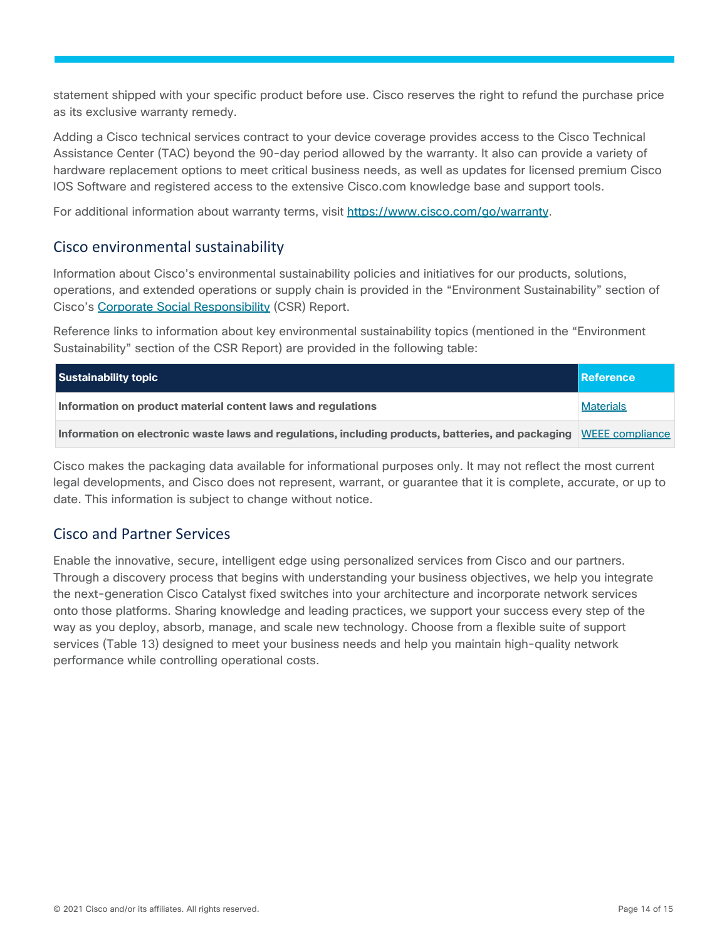statement shipped with your specific product before use. Cisco reserves the right to refund the purchase price as its exclusive warranty remedy.

Adding a Cisco technical services contract to your device coverage provides access to the Cisco Technical Assistance Center (TAC) beyond the 90-day period allowed by the warranty. It also can provide a variety of hardware replacement options to meet critical business needs, as well as updates for licensed premium Cisco IOS Software and registered access to the extensive Cisco.com knowledge base and support tools.

For additional information about warranty terms, visit [https://www.cisco.com/go/warranty.](https://www.cisco.com/go/warranty)

## <span id="page-13-0"></span>Cisco environmental sustainability

Information about Cisco's environmental sustainability policies and initiatives for our products, solutions, operations, and extended operations or supply chain is provided in the "Environment Sustainability" section of Cisco's Corporate Social [Responsibility](https://www-1.compliance2product.com/c2p/getAttachment.do?code=YM6Y0yThdO6Wj1FxxYPYfUG2dtFkTeFWGpzLRO8tcURFEifUCRV403Tq2ZMWP6Ai) (CSR) Report.

Reference links to information about key environmental sustainability topics (mentioned in the "Environment Sustainability" section of the CSR Report) are provided in the following table:

| Sustainability topic                                                                                               | Reference        |
|--------------------------------------------------------------------------------------------------------------------|------------------|
| Information on product material content laws and regulations                                                       | <b>Materials</b> |
| Information on electronic waste laws and regulations, including products, batteries, and packaging MEEE compliance |                  |

Cisco makes the packaging data available for informational purposes only. It may not reflect the most current legal developments, and Cisco does not represent, warrant, or guarantee that it is complete, accurate, or up to date. This information is subject to change without notice.

## <span id="page-13-1"></span>Cisco and Partner Services

Enable the innovative, secure, intelligent edge using personalized services from Cisco and our partners. Through a discovery process that begins with understanding your business objectives, we help you integrate the next-generation Cisco Catalyst fixed switches into your architecture and incorporate network services onto those platforms. Sharing knowledge and leading practices, we support your success every step of the way as you deploy, absorb, manage, and scale new technology. Choose from a flexible suite of support services (Table 13) designed to meet your business needs and help you maintain high-quality network performance while controlling operational costs.